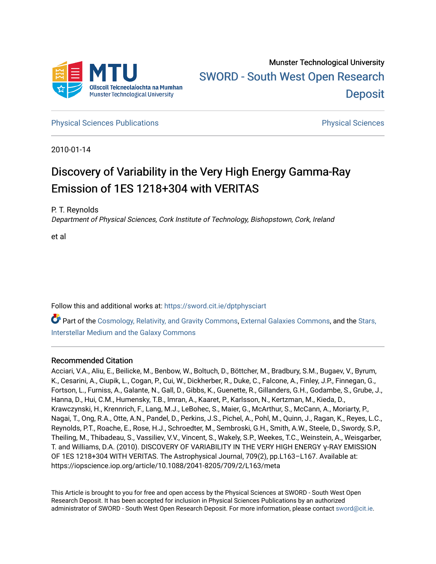

**[Physical Sciences Publications](https://sword.cit.ie/dptphysciart) Provide Access Publications Physical Sciences** Physical Sciences

2010-01-14

# Discovery of Variability in the Very High Energy Gamma-Ray Emission of 1ES 1218+304 with VERITAS

P. T. Reynolds

Department of Physical Sciences, Cork Institute of Technology, Bishopstown, Cork, Ireland

et al

Follow this and additional works at: [https://sword.cit.ie/dptphysciart](https://sword.cit.ie/dptphysciart?utm_source=sword.cit.ie%2Fdptphysciart%2F104&utm_medium=PDF&utm_campaign=PDFCoverPages)

Part of the [Cosmology, Relativity, and Gravity Commons,](http://network.bepress.com/hgg/discipline/129?utm_source=sword.cit.ie%2Fdptphysciart%2F104&utm_medium=PDF&utm_campaign=PDFCoverPages) [External Galaxies Commons](http://network.bepress.com/hgg/discipline/128?utm_source=sword.cit.ie%2Fdptphysciart%2F104&utm_medium=PDF&utm_campaign=PDFCoverPages), and the [Stars,](http://network.bepress.com/hgg/discipline/127?utm_source=sword.cit.ie%2Fdptphysciart%2F104&utm_medium=PDF&utm_campaign=PDFCoverPages)  [Interstellar Medium and the Galaxy Commons](http://network.bepress.com/hgg/discipline/127?utm_source=sword.cit.ie%2Fdptphysciart%2F104&utm_medium=PDF&utm_campaign=PDFCoverPages) 

## Recommended Citation

Acciari, V.A., Aliu, E., Beilicke, M., Benbow, W., Boltuch, D., Böttcher, M., Bradbury, S.M., Bugaev, V., Byrum, K., Cesarini, A., Ciupik, L., Cogan, P., Cui, W., Dickherber, R., Duke, C., Falcone, A., Finley, J.P., Finnegan, G., Fortson, L., Furniss, A., Galante, N., Gall, D., Gibbs, K., Guenette, R., Gillanders, G.H., Godambe, S., Grube, J., Hanna, D., Hui, C.M., Humensky, T.B., Imran, A., Kaaret, P., Karlsson, N., Kertzman, M., Kieda, D., Krawczynski, H., Krennrich, F., Lang, M.J., LeBohec, S., Maier, G., McArthur, S., McCann, A., Moriarty, P., Nagai, T., Ong, R.A., Otte, A.N., Pandel, D., Perkins, J.S., Pichel, A., Pohl, M., Quinn, J., Ragan, K., Reyes, L.C., Reynolds, P.T., Roache, E., Rose, H.J., Schroedter, M., Sembroski, G.H., Smith, A.W., Steele, D., Swordy, S.P., Theiling, M., Thibadeau, S., Vassiliev, V.V., Vincent, S., Wakely, S.P., Weekes, T.C., Weinstein, A., Weisgarber, T. and Williams, D.A. (2010). DISCOVERY OF VARIABILITY IN THE VERY HIGH ENERGY γ-RAY EMISSION OF 1ES 1218+304 WITH VERITAS. The Astrophysical Journal, 709(2), pp.L163–L167. Available at: https://iopscience.iop.org/article/10.1088/2041-8205/709/2/L163/meta

This Article is brought to you for free and open access by the Physical Sciences at SWORD - South West Open Research Deposit. It has been accepted for inclusion in Physical Sciences Publications by an authorized administrator of SWORD - South West Open Research Deposit. For more information, please contact [sword@cit.ie.](mailto:sword@cit.ie)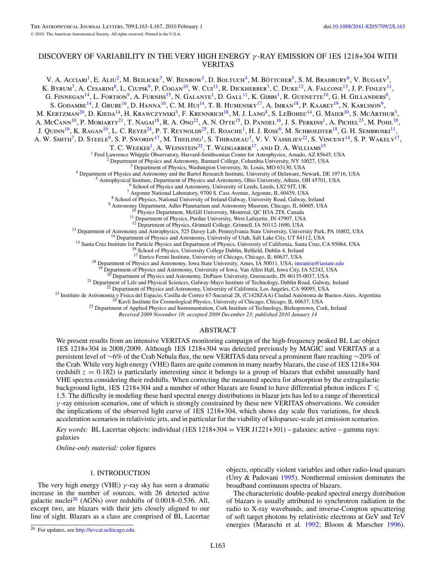## DISCOVERY OF VARIABILITY IN THE VERY HIGH ENERGY *γ* -RAY EMISSION OF 1ES 1218+304 WITH VERITAS

V. A. Acciari<sup>1</sup>, E. Aliu<sup>2</sup>, M. Beilicke<sup>3</sup>, W. Benbow<sup>1</sup>, D. Boltuch<sup>4</sup>, M. Böttcher<sup>5</sup>, S. M. Bradbury<sup>6</sup>, V. Bugaev<sup>3</sup>, K. Byrum<sup>7</sup>, A. Cesarini<sup>8</sup>, L. Ciupik<sup>9</sup>, P. Cogan<sup>10</sup>, W. Cui<sup>11</sup>, R. Dickherber<sup>3</sup>, C. Duke<sup>12</sup>, A. Falcone<sup>13</sup>, J. P. Finley<sup>11</sup>, G. Finnegan<sup>14</sup>, L. Fortson<sup>9</sup>, A. Furniss<sup>15</sup>, N. Galante<sup>1</sup>, D. Gall<sup>11</sup>, K. Gibbs<sup>1</sup>, R. Guenette<sup>10</sup>, G. H. Gillanders<sup>8</sup>, S. GODAMBE<sup>14</sup>, J. GRUBE<sup>16</sup>, D. HANNA<sup>10</sup>, C. M. Hui<sup>14</sup>, T. B. Humensky<sup>17</sup>, A. Imran<sup>18</sup>, P. Kaaret<sup>19</sup>, N. Karlsson<sup>9</sup>, M. KERTZMAN<sup>20</sup>, D. KIEDA<sup>14</sup>, H. KRAWCZYNSKI<sup>3</sup>, F. KRENNRICH<sup>18</sup>, M. J. LANG<sup>8</sup>, S. LEBOHEC<sup>14</sup>, G. MAIER<sup>10</sup>, S. MCARTHUR<sup>3</sup>, A. McCann<sup>10</sup>, P. Moriarty<sup>21</sup>, T. Nagai<sup>18</sup>, R. A. Ong<sup>22</sup>, A. N. Otte<sup>15</sup>, D. Pandel<sup>16</sup>, J. S. Perkins<sup>1</sup>, A. Pichel<sup>23</sup>, M. Pohl<sup>18</sup>, J. QUINN<sup>16</sup>, K. RAGAN<sup>10</sup>, L. C. REYES<sup>24</sup>, P. T. REYNOLDS<sup>25</sup>, E. ROACHE<sup>1</sup>, H. J. ROSE<sup>6</sup>, M. SCHROEDTER<sup>18</sup>, G. H. SEMBROSKI<sup>11</sup>, A. W. SMITH<sup>7</sup>, D. STEELE<sup>9</sup>, S. P. SWORDY<sup>17</sup>, M. THEILING<sup>1</sup>, S. THIBADEAU<sup>3</sup>, V. V. VASSILIEV<sup>22</sup>, S. VINCENT<sup>14</sup>, S. P. WAKELY<sup>17</sup>, T. C. WEEKES<sup>1</sup>, A. WEINSTEIN<sup>22</sup>, T. WEISGARBER<sup>17</sup>, AND D. A. WILLIAMS<sup>15</sup><br><sup>1</sup> Fred Lawrence Whipple Observatory, Harvard-Smithsonian Center for Astrophysics, Amado, AZ 85645, USA <sup>1</sup> Fred Lawrence Whipple Observatory, Harvard-Smithsonian Center for Astrophysics, Amado, AZ 85645, USA<br>
<sup>2</sup> Department of Physics and Astronomy, Barnard College, Columbia University, NY 10027, USA<br>
<sup>3</sup> Department of Phy <sup>11</sup> Department of Physics, Purdue University, West Lafayette, IN 47907, USA<br><sup>12</sup> Department of Physics, Grinnell College, Grinnell, IA 50112-1690, USA<br><sup>13</sup> Department of Astronomy and Astrophysics, 525 Davey Lab, Pennsyl <sup>18</sup> Department of Physics and Astronomy, Iowa State University, Ames, IA 50011, USA; intranisu@iastate.edu<br><sup>19</sup> Department of Physics and Astronomy, University of Iowa, Van Allen Hall, Iowa City, IA 52242, USA<br><sup>20</sup> Depar <sup>20</sup> Department of Physics and Astronomy, DePauw University, Greencastle, IN 46135-0037, USA<br><sup>21</sup> Department of Life and Physical Sciences, Galway-Mayo Institute of Technology, Dublin Road, Galway, Ireland<br><sup>22</sup> Department *Received 2009 November 18; accepted 2009 December 23; published 2010 January 14*

### ABSTRACT

We present results from an intensive VERITAS monitoring campaign of the high-frequency peaked BL Lac object 1ES 1218+304 in 2008*/*2009. Although 1ES 1218+304 was detected previously by MAGIC and VERITAS at a persistent level of ∼6% of the Crab Nebula flux, the new VERITAS data reveal a prominent flare reaching ∼20% of the Crab. While very high energy (VHE) flares are quite common in many nearby blazars, the case of 1ES 1218+304 (redshift  $z = 0.182$ ) is particularly interesting since it belongs to a group of blazars that exhibit unusually hard VHE spectra considering their redshifts. When correcting the measured spectra for absorption by the extragalactic background light, 1ES 1218+304 and a number of other blazars are found to have differential photon indices  $\Gamma$   $\leqslant$ 1.5. The difficulty in modeling these hard spectral energy distributions in blazar jets has led to a range of theoretical *γ* -ray emission scenarios, one of which is strongly constrained by these new VERITAS observations. We consider the implications of the observed light curve of 1ES 1218+304, which shows day scale flux variations, for shock acceleration scenarios in relativistic jets, and in particular for the viability of kiloparsec-scale jet emission scenarios.

*Key words:* BL Lacertae objects: individual (1ES 1218+304 = VER J1221+301) – galaxies: active – gamma rays: galaxies

*Online-only material:* color figures

## 1. INTRODUCTION

The very high energy (VHE)  $\gamma$ -ray sky has seen a dramatic increase in the number of sources, with 26 detected active galactic nuclei<sup>26</sup> (AGNs) over redshifts of 0.0018–0.536. All, except two, are blazars with their jets closely aligned to our line of sight. Blazars as a class are comprised of BL Lacertae

<sup>26</sup> For updates, see [http://tevcat.uchicago.edu.](http://tevcat.uchicago.edu)

objects, optically violent variables and other radio-loud quasars (Urry & Padovani [1995\)](#page-5-0). Nonthermal emission dominates the broadband continuum spectra of blazars.

The characteristic double-peaked spectral energy distribution of blazars is usually attributed to synchrotron radiation in the radio to X-ray wavebands, and inverse-Compton upscattering of soft target photons by relativistic electrons at GeV and TeV energies (Maraschi et al. [1992;](#page-5-0) Bloom & Marscher [1996\)](#page-5-0).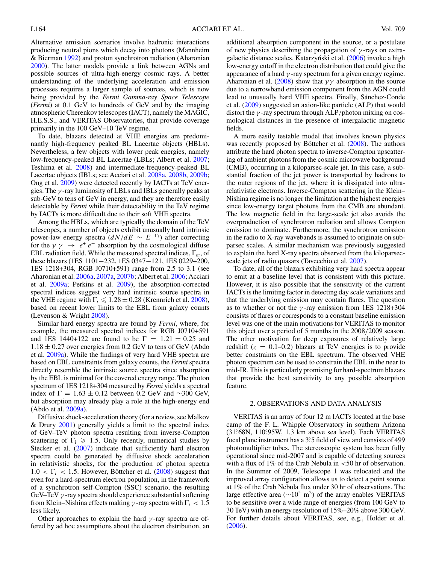Alternative emission scenarios involve hadronic interactions producing neutral pions which decay into photons (Mannheim & Bierman [1992\)](#page-5-0) and proton synchrotron radiation (Aharonian [2000\)](#page-5-0). The latter models provide a link between AGNs and possible sources of ultra-high-energy cosmic rays. A better understanding of the underlying acceleration and emission processes requires a larger sample of sources, which is now being provided by the *Fermi Gamma-ray Space Telescope* (*Fermi*) at 0.1 GeV to hundreds of GeV and by the imaging atmospheric Cherenkov telescopes (IACT), namely the MAGIC, H.E.S.S., and VERITAS Observatories, that provide coverage primarily in the 100 GeV–10 TeV regime.

To date, blazars detected at VHE energies are predominantly high-frequency peaked BL Lacertae objects (HBLs). Nevertheless, a few objects with lower peak energies, namely low-frequency-peaked BL Lacertae (LBLs; Albert et al. [2007;](#page-5-0) Teshima et al. [2008\)](#page-5-0) and intermediate-frequency-peaked BL Lacertae objects (IBLs; see Acciari et al. [2008a,](#page-5-0) [2008b,](#page-5-0) [2009b;](#page-5-0) Ong et al. [2009\)](#page-5-0) were detected recently by IACTs at TeV energies. The *γ* -ray luminosity of LBLs and IBLs generally peaks at sub-GeV to tens of GeV in energy, and they are therefore easily detectable by *Fermi* while their detectability in the TeV regime by IACTs is more difficult due to their soft VHE spectra.

Among the HBLs, which are typically the domain of the TeV telescopes, a number of objects exhibit unusually hard intrinsic power-law energy spectra  $\left(\frac{dN}{dE} \sim E^{-\Gamma_i}\right)$  after correcting for the  $\gamma \gamma \rightarrow e^+ e^-$  absorption by the cosmological diffuse EBL radiation field. While the measured spectral indices, Γ*m*, of these blazars (1ES 1101−232, 1ES 0347−121, 1ES 0229+200, 1ES 1218+304, RGB J0710+591) range from 2.5 to 3.1 (see Aharonian et al. [2006a,](#page-5-0) [2007a,](#page-5-0) [2007b;](#page-5-0) Albert et al. [2006;](#page-5-0) Acciari et al. [2009a;](#page-5-0) Perkins et al. [2009\)](#page-5-0), the absorption-corrected spectral indices suggest very hard intrinsic source spectra in the VHE regime with  $\Gamma_i \leq 1.28 \pm 0.28$  (Krennrich et al. [2008\)](#page-5-0), based on recent lower limits to the EBL from galaxy counts (Levenson & Wright [2008\)](#page-5-0).

Similar hard energy spectra are found by *Fermi*, where, for example, the measured spectral indices for RGB J0710+591 and 1ES 1440+122 are found to be  $\Gamma = 1.21 \pm 0.25$  and  $1.18 \pm 0.27$  over energies from 0.2 GeV to tens of GeV (Abdo et al. [2009a\)](#page-5-0). While the findings of very hard VHE spectra are based on EBL constraints from galaxy counts, the *Fermi* spectra directly resemble the intrinsic source spectra since absorption by the EBL is minimal for the covered energy range. The photon spectrum of 1ES 1218+304 measured by *Fermi* yields a spectral index of  $\Gamma = 1.63 \pm 0.12$  between 0.2 GeV and ~300 GeV, but absorption may already play a role at the high-energy end (Abdo et al. [2009a\)](#page-5-0).

Diffusive shock-acceleration theory (for a review, see Malkov & Drury [2001\)](#page-5-0) generally yields a limit to the spectral index of GeV–TeV photon spectra resulting from inverse-Compton scattering of  $\Gamma_i \geq 1.5$ . Only recently, numerical studies by Stecker et al. [\(2007\)](#page-5-0) indicate that sufficiently hard electron spectra could be generated by diffusive shock acceleration in relativistic shocks, for the production of photon spectra  $1.0 < \Gamma_i < 1.5$ . However, Böttcher et al. ([2008\)](#page-5-0) suggest that even for a hard-spectrum electron population, in the framework of a synchrotron self-Compton (SSC) scenario, the resulting GeV–TeV *γ* -ray spectra should experience substantial softening from Klein–Nishina effects making *γ* -ray spectra with Γ*<sup>i</sup> <* 1*.*5 less likely.

Other approaches to explain the hard *γ* -ray spectra are offered by ad hoc assumptions about the electron distribution, an additional absorption component in the source, or a postulate of new physics describing the propagation of *γ* -rays on extra-galactic distance scales. Katarzyński et al. ([2006\)](#page-5-0) invoke a high low-energy cutoff in the electron distribution that could give the appearance of a hard *γ* -ray spectrum for a given energy regime. Aharonian et al. [\(2008\)](#page-5-0) show that *γ γ* absorption in the source due to a narrowband emission component from the AGN could lead to unusually hard VHE spectra. Finally, Sánchez-Conde et al. [\(2009\)](#page-5-0) suggested an axion-like particle (ALP) that would distort the *γ* -ray spectrum through ALP*/*photon mixing on cosmological distances in the presence of intergalactic magnetic fields.

A more easily testable model that involves known physics was recently proposed by Böttcher et al.  $(2008)$  $(2008)$ . The authors attribute the hard photon spectra to inverse-Compton upscattering of ambient photons from the cosmic microwave background (CMB), occurring in a kiloparsec-scale jet. In this case, a substantial fraction of the jet power is transported by hadrons to the outer regions of the jet, where it is dissipated into ultrarelativistic electrons. Inverse-Compton scattering in the Klein– Nishina regime is no longer the limitation at the highest energies since low-energy target photons from the CMB are abundant. The low magnetic field in the large-scale jet also avoids the overproduction of synchrotron radiation and allows Compton emission to dominate. Furthermore, the synchrotron emission in the radio to X-ray wavebands is assumed to originate on subparsec scales. A similar mechanism was previously suggested to explain the hard X-ray spectra observed from the kiloparsecscale jets of radio quasars (Tavecchio et al. [2007\)](#page-5-0).

To date, all of the blazars exhibiting very hard spectra appear to emit at a baseline level that is consistent with this picture. However, it is also possible that the sensitivity of the current IACTs is the limiting factor in detecting day scale variations and that the underlying emission may contain flares. The question as to whether or not the *γ* -ray emission from 1ES 1218+304 consists of flares or corresponds to a constant baseline emission level was one of the main motivations for VERITAS to monitor this object over a period of 5 months in the 2008*/*2009 season. The other motivation for deep exposures of relatively large redshift  $(z = 0.1{\text{-}}0.2)$  blazars at TeV energies is to provide better constraints on the EBL spectrum. The observed VHE photon spectrum can be used to constrain the EBL in the near to mid-IR. This is particularly promising for hard-spectrum blazars that provide the best sensitivity to any possible absorption feature.

## 2. OBSERVATIONS AND DATA ANALYSIS

VERITAS is an array of four 12 m IACTs located at the base camp of the F. L. Whipple Observatory in southern Arizona (31*.* ◦68N, 110*.* ◦95W, 1.3 km above sea level). Each VERITAS focal plane instrument has a 3°<sub>2</sub>5 field of view and consists of 499 photomultiplier tubes. The stereoscopic system has been fully operational since mid-2007 and is capable of detecting sources with a flux of 1% of the Crab Nebula in *<*50 hr of observation. In the Summer of 2009, Telescope 1 was relocated and the improved array configuration allows us to detect a point source at 1% of the Crab Nebula flux under 30 hr of observations. The large effective area ( $\sim 10^5$  m<sup>2</sup>) of the array enables VERITAS to be sensitive over a wide range of energies (from 100 GeV to 30 TeV) with an energy resolution of 15%–20% above 300 GeV. For further details about VERITAS, see, e.g., Holder et al. [\(2006\)](#page-5-0).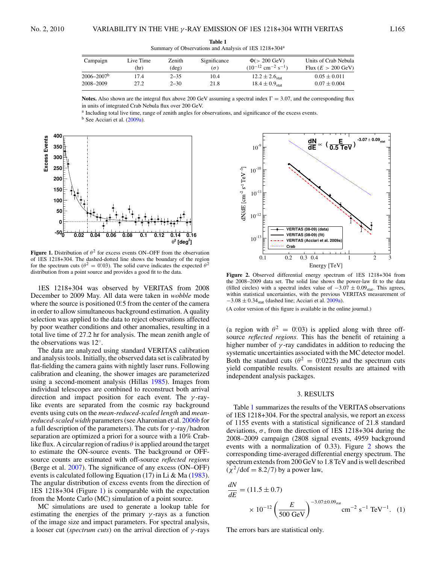| Campaign                   | Live Time | Zenith         | Significance | $\Phi$ (> 200 GeV)                             | Units of Crab Nebula         |
|----------------------------|-----------|----------------|--------------|------------------------------------------------|------------------------------|
|                            | (hr)      | $(\text{deg})$ | (σ           | $(10^{-12}$ cm <sup>-2</sup> s <sup>-1</sup> ) | Flux $(E > 200 \text{ GeV})$ |
| $2006 - 2007$ <sup>b</sup> | 17.4      | $2 - 35$       | 10.4         | $12.2 \pm 2.6$ <sub>stat</sub>                 | $0.05 \pm 0.011$             |
| 2008-2009                  | 27.2      | $2 - 30$       | 21.8         | $18.4 \pm 0.9$ <sub>stat</sub>                 | $0.07 \pm 0.004$             |

**Table 1** Summary of Observations and Analysis of 1ES 1218+304a

**Notes.** Also shown are the integral flux above 200 GeV assuming a spectral index  $\Gamma = 3.07$ , and the corresponding flux in units of integrated Crab Nebula flux over 200 GeV.

<sup>a</sup> Including total live time, range of zenith angles for observations, and significance of the excess events.





**Figure 1.** Distribution of  $\theta^2$  for excess events ON–OFF from the observation of 1ES 1218+304. The dashed-dotted line shows the boundary of the region for the spectrum cuts ( $\theta^2 = 0.03$ ). The solid curve indicates the expected  $\theta^2$ distribution from a point source and provides a good fit to the data.

1ES 1218+304 was observed by VERITAS from 2008 December to 2009 May. All data were taken in *wobble* mode where the source is positioned 0.5 from the center of the camera in order to allow simultaneous background estimation. A quality selection was applied to the data to reject observations affected by poor weather conditions and other anomalies, resulting in a total live time of 27.2 hr for analysis. The mean zenith angle of the observations was 12◦.

The data are analyzed using standard VERITAS calibration and analysis tools. Initially, the observed data set is calibrated by flat-fielding the camera gains with nightly laser runs. Following calibration and cleaning, the shower images are parameterized using a second-moment analysis (Hillas [1985\)](#page-5-0). Images from individual telescopes are combined to reconstruct both arrival direction and impact position for each event. The *γ* -raylike events are separated from the cosmic ray background events using cuts on the *mean-reduced-scaled length* and *meanreduced-scaled width* parameters (see Aharonian et al. [2006b](#page-5-0) for a full description of the parameters). The cuts for *γ* -ray*/*hadron separation are optimized a priori for a source with a 10% Crablike flux. A circular region of radius  $\theta$  is applied around the target to estimate the ON-source events. The background or OFFsource counts are estimated with off-source *reflected regions* (Berge et al. [2007\)](#page-5-0). The significance of any excess (ON–OFF) events is calculated following Equation (17) in Li & Ma  $(1983)$ . The angular distribution of excess events from the direction of 1ES 1218+304 (Figure 1) is comparable with the expectation from the Monte Carlo (MC) simulation of a point source.

MC simulations are used to generate a lookup table for estimating the energies of the primary  $\gamma$ -rays as a function of the image size and impact parameters. For spectral analysis, a looser cut (*spectrum cuts*) on the arrival direction of *γ* -rays



**Figure 2.** Observed differential energy spectrum of 1ES 1218+304 from the 2008–2009 data set. The solid line shows the power-law fit to the data (filled circles) with a spectral index value of  $-3.07 \pm 0.09$ <sub>stat</sub>. This agrees, within statistical uncertainties, with the previous VERITAS measurement of −3*.*08 ± 0*.*34stat (dashed line; Acciari et al. [2009a\)](#page-5-0).

(A color version of this figure is available in the online journal.)

(a region with  $\theta^2 = 0.03$ ) is applied along with three offsource *reflected regions*. This has the benefit of retaining a higher number of *γ* -ray candidates in addition to reducing the systematic uncertainties associated with the MC detector model. Both the standard cuts ( $\theta^2 = 0.0225$ ) and the spectrum cuts yield compatible results. Consistent results are attained with independent analysis packages.

#### 3. RESULTS

Table 1 summarizes the results of the VERITAS observations of 1ES 1218+304. For the spectral analysis, we report an excess of 1155 events with a statistical significance of 21.8 standard deviations,  $\sigma$ , from the direction of 1ES 1218+304 during the 2008–2009 campaign (2808 signal events, 4959 background events with a normalization of 0.33). Figure 2 shows the corresponding time-averaged differential energy spectrum. The spectrum extends from 200 GeV to 1.8 TeV and is well described  $(\chi^2/\text{dof} = 8.2/7)$  by a power law,

$$
\frac{dN}{dE} = (11.5 \pm 0.7) \times 10^{-12} \left(\frac{E}{500 \text{ GeV}}\right)^{-3.07 \pm 0.09_{\text{stat}}} \text{cm}^{-2} \text{ s}^{-1} \text{ TeV}^{-1}. \tag{1}
$$

The errors bars are statistical only.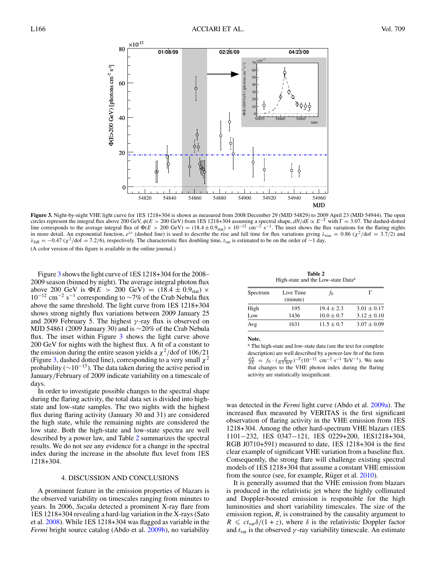<span id="page-4-0"></span>

**Figure 3.** Night-by-night VHE light curve for 1ES 1218+304 is shown as measured from 2008 December 29 (MJD 54829) to 2009 April 23 (MJD 54944). The open circles represent the integral flux above 200 GeV,  $\phi(E > 200$  GeV) from 1ES 1218+304 assuming a spectral shape,  $dN/dE \propto E^{-\Gamma}$  with  $\Gamma = 3.07$ . The dashed-dotted line corresponds to the average integral flux of  $\Phi(E > 200 \text{ GeV}) = (18.4 \pm 0.9 \text{stat}) \times 10^{-12} \text{ cm}^{-2} \text{ s}^{-1}$ . The inset shows the flux variations for the flaring nights in more detail. An exponential function,  $e^{\lambda t}$  (dashed line) is used to describe the rise and fall time for flux variations giving  $\lambda_{\text{rise}} = 0.86$  ( $\chi^2/\text{dof} = 3.7/2$ ) and *λ*<sub>fall</sub> = −0*.47* (*χ*<sup>2</sup>/dof = 7*.2/*6), respectively. The characteristic flux doubling time, *t*<sub>var</sub> is estimated to be on the order of ∼1 day. (A color version of this figure is available in the online journal.)

Figure 3 shows the light curve of 1ES 1218+304 for the 2008– 2009 season (binned by night). The average integral photon flux above 200 GeV is  $\Phi(E > 200 \text{ GeV}) = (18.4 \pm 0.9 \text{stat}) \times$  $10^{-12}$  cm<sup>-2</sup> s<sup>-1</sup> corresponding to ~7% of the Crab Nebula flux above the same threshold. The light curve from 1ES 1218+304 shows strong nightly flux variations between 2009 January 25 and 2009 February 5. The highest *γ* -ray flux is observed on MJD 54861 (2009 January 30) and is ∼20% of the Crab Nebula flux. The inset within Figure 3 shows the light curve above 200 GeV for nights with the highest flux. A fit of a constant to the emission during the entire season yields a  $\chi^2$ /dof of 106/21 (Figure 3, dashed dotted line), corresponding to a very small  $\chi^2$ probability ( $\sim$ 10<sup>-13</sup>). The data taken during the active period in January*/*February of 2009 indicate variability on a timescale of days.

In order to investigate possible changes to the spectral shape during the flaring activity, the total data set is divided into highstate and low-state samples. The two nights with the highest flux during flaring activity (January 30 and 31) are considered the high state, while the remaining nights are considered the low state. Both the high-state and low-state spectra are well described by a power law, and Table 2 summarizes the spectral results. We do not see any evidence for a change in the spectral index during the increase in the absolute flux level from 1ES 1218+304.

#### 4. DISCUSSION AND CONCLUSIONS

A prominent feature in the emission properties of blazars is the observed variability on timescales ranging from minutes to years. In 2006, *Suzaku* detected a prominent X-ray flare from 1ES 1218+304 revealing a hard-lag variation in the X-rays (Sato et al. [2008\)](#page-5-0). While 1ES 1218+304 was flagged as variable in the *Fermi* bright source catalog (Abdo et al. [2009b\)](#page-5-0), no variability

**Table 2** High-state and the Low-state Data<sup>a</sup>

| Spectrum | Live Time<br>(minute) | .TO            |                 |
|----------|-----------------------|----------------|-----------------|
| High     | 195                   | $19.4 \pm 2.3$ | $3.01 \pm 0.17$ |
| Low      | 1436                  | $10.0 \pm 0.7$ | $3.12 \pm 0.10$ |
| Avg      | 1631                  | $11.5 \pm 0.7$ | $3.07 \pm 0.09$ |

**Note.**

<sup>a</sup> The high-state and low-state data (see the text for complete description) are well described by a power-law fit of the form  $\frac{dN}{dE}$  =  $f_0 \cdot (\frac{E}{0.5 \text{ TeV}})^{-\Gamma} (10^{-12} \text{ cm}^{-2} \text{ s}^{-1} \text{ TeV}^{-1})$ . We note that changes to the VHE photon index during the flaring activity are statistically insignificant.

was detected in the *Fermi* light curve (Abdo et al. [2009a\)](#page-5-0). The increased flux measured by VERITAS is the first significant observation of flaring activity in the VHE emission from 1ES 1218+304. Among the other hard-spectrum VHE blazars (1ES 1101−232, 1ES 0347−121, 1ES 0229+200, 1ES1218+304, RGB J0710+591) measured to date, 1ES 1218+304 is the first clear example of significant VHE variation from a baseline flux. Consequently, the strong flare will challenge existing spectral models of 1ES 1218+304 that assume a constant VHE emission from the source (see, for example, Rüger et al.  $2010$ ).

It is generally assumed that the VHE emission from blazars is produced in the relativistic jet where the highly collimated and Doppler-boosted emission is responsible for the high luminosities and short variability timescales. The size of the emission region,  $R$ , is constrained by the causality argument to  $R \leq ct_{\text{var}}\delta/(1+z)$ , where  $\delta$  is the relativistic Doppler factor and  $t_{\text{var}}$  is the observed  $\gamma$ -ray variability timescale. An estimate